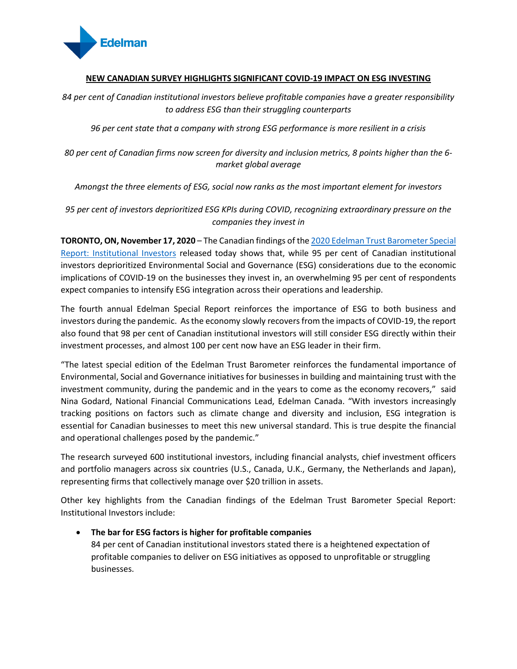

# **NEW CANADIAN SURVEY HIGHLIGHTS SIGNIFICANT COVID-19 IMPACT ON ESG INVESTING**

*84 per cent of Canadian institutional investors believe profitable companies have a greater responsibility to address ESG than their struggling counterparts*

*96 per cent state that a company with strong ESG performance is more resilient in a crisis*

*80 per cent of Canadian firms now screen for diversity and inclusion metrics, 8 points higher than the 6 market global average*

*Amongst the three elements of ESG, social now ranks as the most important element for investors*

*95 per cent of investors deprioritized ESG KPIs during COVID, recognizing extraordinary pressure on the companies they invest in*

**TORONTO, ON, November 17, 2020** – The Canadian findings of th[e 2020 Edelman Trust Barometer Special](https://www.edelman.ca/trust-barometer/trust-barometer-2020-Investor-Cut)  [Report: Institutional Investors](https://www.edelman.ca/trust-barometer/trust-barometer-2020-Investor-Cut) released today shows that, while 95 per cent of Canadian institutional investors deprioritized Environmental Social and Governance (ESG) considerations due to the economic implications of COVID-19 on the businesses they invest in, an overwhelming 95 per cent of respondents expect companies to intensify ESG integration across their operations and leadership.

The fourth annual Edelman Special Report reinforces the importance of ESG to both business and investors during the pandemic. As the economy slowly recovers from the impacts of COVID-19, the report also found that 98 per cent of Canadian institutional investors will still consider ESG directly within their investment processes, and almost 100 per cent now have an ESG leader in their firm.

"The latest special edition of the Edelman Trust Barometer reinforces the fundamental importance of Environmental, Social and Governance initiatives for businesses in building and maintaining trust with the investment community, during the pandemic and in the years to come as the economy recovers," said Nina Godard, National Financial Communications Lead, Edelman Canada. "With investors increasingly tracking positions on factors such as climate change and diversity and inclusion, ESG integration is essential for Canadian businesses to meet this new universal standard. This is true despite the financial and operational challenges posed by the pandemic."

The research surveyed 600 institutional investors, including financial analysts, chief investment officers and portfolio managers across six countries (U.S., Canada, U.K., Germany, the Netherlands and Japan), representing firms that collectively manage over \$20 trillion in assets.

Other key highlights from the Canadian findings of the Edelman Trust Barometer Special Report: Institutional Investors include:

• **The bar for ESG factors is higher for profitable companies**

84 per cent of Canadian institutional investors stated there is a heightened expectation of profitable companies to deliver on ESG initiatives as opposed to unprofitable or struggling businesses.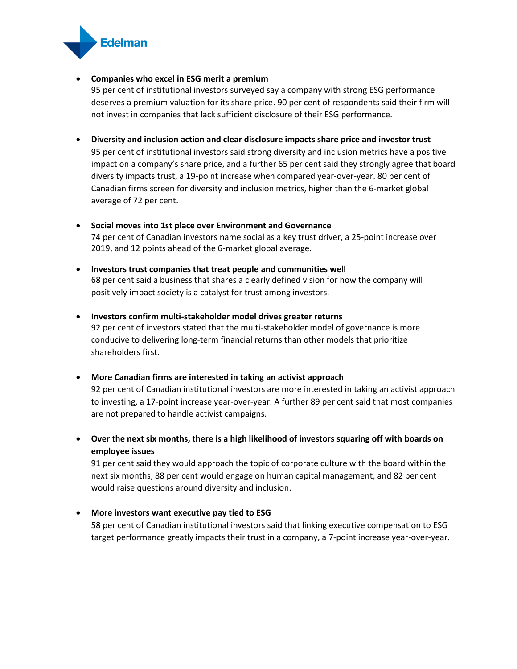

# • **Companies who excel in ESG merit a premium**

95 per cent of institutional investors surveyed say a company with strong ESG performance deserves a premium valuation for its share price. 90 per cent of respondents said their firm will not invest in companies that lack sufficient disclosure of their ESG performance.

- **Diversity and inclusion action and clear disclosure impacts share price and investor trust** 95 per cent of institutional investors said strong diversity and inclusion metrics have a positive impact on a company's share price, and a further 65 per cent said they strongly agree that board diversity impacts trust, a 19-point increase when compared year-over-year. 80 per cent of Canadian firms screen for diversity and inclusion metrics, higher than the 6-market global average of 72 per cent.
- **Social moves into 1st place over Environment and Governance**  74 per cent of Canadian investors name social as a key trust driver, a 25-point increase over 2019, and 12 points ahead of the 6-market global average.
- **Investors trust companies that treat people and communities well** 68 per cent said a business that shares a clearly defined vision for how the company will positively impact society is a catalyst for trust among investors.
- **Investors confirm multi-stakeholder model drives greater returns** 92 per cent of investors stated that the multi-stakeholder model of governance is more conducive to delivering long-term financial returns than other models that prioritize shareholders first.
- **More Canadian firms are interested in taking an activist approach**  92 per cent of Canadian institutional investors are more interested in taking an activist approach to investing, a 17-point increase year-over-year. A further 89 per cent said that most companies are not prepared to handle activist campaigns.
- **Over the next six months, there is a high likelihood of investors squaring off with boards on employee issues**

91 per cent said they would approach the topic of corporate culture with the board within the next six months, 88 per cent would engage on human capital management, and 82 per cent would raise questions around diversity and inclusion.

• **More investors want executive pay tied to ESG**

58 per cent of Canadian institutional investors said that linking executive compensation to ESG target performance greatly impacts their trust in a company, a 7-point increase year-over-year.